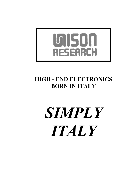

# HIGH - END ELECTRONICS BORN IN ITALY

# *SIMPLY ITALY*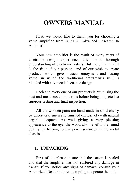# OWNERS MANUAL

First, we would like to thank you for choosing a valve amplifier from A.R.I.A. Advanced Research In Audio srl.

Your new amplifier is the result of many years of electronic design experience, allied to a thorough understanding of electronic valves. But more than that it is the fruit of our passion, and of our wish to create products which give musical enjoyment and lasting value, in which the traditional craftsman's skill is blended with advanced electronic design.

Each and every one of our products is built using the best and most trusted materials before being subjected to rigorous testing and final inspection.

All the wooden parts are hand-made in solid cherry by expert craftsmen and finished exclusively with natural organic lacquers. As well giving a very pleasing appearance to the eye, the wood also benefits the sound quality by helping to dampen resonances in the metal chassis.

# 1. UNPACKING

First of all, please ensure that the carton is sealed and that the amplifier has not suffered any damage in transit. If you notice any signs of damage, consult your Authorized Dealer before attempting to operate the unit.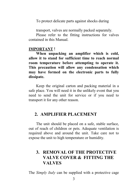To protect delicate parts against shocks during

transport, valves are normally packed separately.

Please refer to the fitting instructions for valves contained in this Manual.

## IMPORTANT !

When unpacking an amplifier which is cold, allow it to stand for sufficient time to reach normal room temperature before attempting to operate it. This precaution will allow any condensation which may have formed on the electronic parts to fully dissipate.

Keep the original carton and packing material in a safe place. You will need it in the unlikely event that you need to send the unit for service or if you need to transport it for any other reason.

# 2. AMPLIFIER PLACEMENT

The unit should be placed on a safe, stable surface, out of reach of children or pets. Adequate ventilation is required above and around the unit. Take care not to expose the unit to high temperature or humidity.

# 3. REMOVAL OF THE PROTECTIVE VALVE COVER & FITTING THE VALVES

The *Simply Italy* can be supplied with a protective cage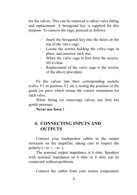for the valves. This can be removed to allow valve fitting and replacement. A hexagonal key is supplied for this purpose. To remove the cage, proceed as follows:

- Insert the hexagonal key into the holes on the top of the valve cage.
- Locate the screws holding the valve cage in place, and unscrew each one.
- When the valve cage is free from the screws, lift it clear.
- Replacement of the valve cage is the reverse of the above procedure.

Fit the valves into their corresponding sockets (valve V1 to position V1 etc.), noting the position of the guide (or pins) which ensure the correct orientation for each valve.

When fitting (or removing) valves, use firm but gentle pressure.

Never use force !

# 4. CONNECTING INPUTS AND **OUTPUTS**

Connect your loudspeaker cables to the output terminals on the amplifier, taking care to respect the polarity  $(+ to +, -to -)$ .

The nominal output impedance is 6 ohm. Speakers with nominal impedance of 4 ohm or 8 ohm can be connected without problems.

Connect the cables from your source components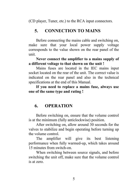(CD player, Tuner, etc.) to the RCA input connectors.

# 5. CONNECTION TO MAINS

Before connecting the mains cable and switching on, make sure that your local power supply voltage corresponds to the value shown on the rear panel of the unit.

Never connect the amplifier to a mains supply of a different voltage to that shown on the unit !

Mains fuses are located in the IEC mains input socket located on the rear of the unit. The correct value is indicated on the rear panel and also in the technical specifications at the end of this Manual.

If you need to replace a mains fuse, always use one of the same type and rating !

# 6. OPERATION

Before switching on, ensure that the volume control is at the minimum (fully anticlockwise) position.

After switching on, allow around 30 seconds for the valves to stabilize and begin operating before turning up the volume control.

The amplifier will give its best listening performance when fully warmed-up, which takes around 15 minutes from switch-on.

When switching between source signals, and before switching the unit off, make sure that the volume control is at zero.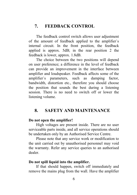# 7. FEEDBACK CONTROL

The feedback control switch allows user adjustment of the amount of feedback applied to the amplifier`s internal circuit. In the front position, the feedback applied is approx. 5dB; in the rear position 2 the feedback is lower, approx. 1.8dB.

The choice between the two positions will depend on user preference; a difference in the level of feedback can provide an improvement in the interface between amplifier and loudspeaker. Feedback affects some of the amplifier`s parameters, such as damping factor, bandwidth, distortion etc., therefore you should choose the position that sounds the best during a listening session. There is no need to switch off or lower the listening volume.

# 8. SAFETY AND MAINTENANCE

# Do not open the amplifier!

High voltages are present inside. There are no user serviceable parts inside, and all service operations should be undertaken only by an Authorised Service Centre.

Please note that any service work or modification to the unit carried out by unauthorised personnel may void the warranty. Refer any service queries to an authorised dealer.

#### Do not spill liquid into the amplifier.

If that should happen, switch off immediately and remove the mains plug from the wall. Have the amplifier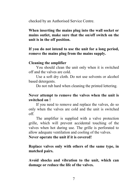checked by an Authorised Service Centre.

When inserting the mains plug into the wall socket or mains outlet, make sure that the on/off switch on the unit is in the off position.

If you do not intend to use the unit for a long period, remove the mains plug from the mains supply.

# Cleaning the amplifier

You should clean the unit only when it is switched off and the valves are cold.

Use a soft dry cloth. Do not use solvents or alcohol based detergents.

Do not rub hard when cleaning the printed lettering.

# Never attempt to remove the valves when the unit is switched on !

If you need to remove and replace the valves, do so only when the valves are cold and the unit is switched off.

The amplifier is supplied with a valve protection grille, which will prevent accidental touching of the valves when hot during use. The grille is perforated to allow adequate ventilation and cooling of the valves.

Never operate the unit if it is covered!

Replace valves only with others of the same type, in matched pairs.

Avoid shocks and vibration to the unit, which can damage or reduce the life of the valves.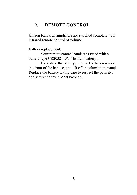# 9. REMOTE CONTROL

Unison Research amplifiers are supplied complete with infrared remote control of volume.

Battery replacement:

Your remote control handset is fitted with a battery type  $CR2032 - 3V$  ( lithium battery ).

To replace the battery, remove the two screws on the front of the handset and lift off the aluminium panel. Replace the battery taking care to respect the polarity, and screw the front panel back on.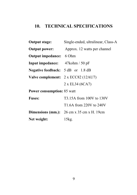# 10. TECHNICAL SPECIFICATIONS

| <b>Output stage:</b>                         | Single-ended, ultralinear, Class-A                                            |  |
|----------------------------------------------|-------------------------------------------------------------------------------|--|
| <b>Output power:</b>                         | Approx. 12 watts per channel                                                  |  |
| <b>Output impedance:</b> 6 Ohm               |                                                                               |  |
| Input impedance: 47kohm / 50 pF              |                                                                               |  |
| <b>Negative feedback:</b> $5 dB$ or $1.8 dB$ |                                                                               |  |
|                                              | Valve complement: $2 \times$ ECC82 (12AU7)                                    |  |
|                                              | 2 x EL34 (6CA7)                                                               |  |
| <b>Power consumption: 85 watt</b>            |                                                                               |  |
| <b>Fuses:</b>                                | T3.15A from 100V to 130V                                                      |  |
|                                              | T1.6A from 220V to 240V                                                       |  |
|                                              | <b>Dimensions (mm.):</b> $26 \text{ cm} \times 35 \text{ cm} \times H$ . 19cm |  |
| Net weight:                                  | 15kg.                                                                         |  |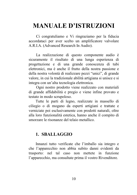# MANUALE D'ISTRUZIONI

Ci congratuliamo e Vi ringraziamo per la fiducia accordataci per aver scelto un amplificatore valvolare A.R.I.A. (Advanced Research In Audio).

La realizzazione di questo componente audio è sicuramente il risultato di una lunga esperienza di progettazione e di una grande conoscenza di tubi elettronici, ma è anche il frutto della nostra passione e della nostra volontà di realizzare pezzi "unici", di grande valore, in cui la tradizionale abilità artigiana si unisce e si integra con un'alta tecnologia elettronica.

Ogni nostro prodotto viene realizzato con materiali di grande affidabilità e pregio e viene infine provato e testato in modo scrupoloso.

Tutte le parti di legno, realizzate in massello di ciliegio o di mogano da esperti artigiani e trattate e verniciate poi esclusivamente con prodotti naturali, oltre alla loro funzionalità estetica, hanno anche il compito di smorzare le risonanze del telaio metallico.

# 1. SBALLAGGIO

Innanzi tutto verificate che l'imballo sia integro e che l'apparecchio non abbia subito danni evidenti da trasporto: nel tal caso non mettete in funzione l'apparecchio, ma consultate prima il vostro Rivenditore.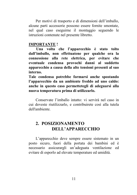Per motivi di trasporto e di dimensioni dell'imballo, alcune parti accessorie possono essere fornite smontate, nel qual caso eseguirne il montaggio seguendo le istruzioni contenute nel presente libretto.

#### IMPORTANTE !

Una volta che l'apparecchio è stato tolto dall'imballo, non effettuatene per qualche ora la connessione alla rete elettrica, per evitare che eventuale condensa provochi danni al suddetto apparecchio a causa della alte tensioni presenti al suo interno.

Tale condensa potrebbe formarsi anche spostando l'apparecchio da un ambiente freddo ad uno caldo: anche in questo caso permettetegli di adeguarsi alla nuova temperatura prima di utilizzarlo.

Conservate l'imballo intatto: vi servirà nel caso in cui doveste riutilizzarlo, e contribuirete così alla tutela dell'ambiente.

# 2. POSIZIONAMENTO DELL'APPARECCHIO

L'apparecchio deve sempre essere sistemato in un posto sicuro, fuori della portata dei bambini ed è necessario assicurargli un'adeguata ventilazione ed evitare di esporlo ad elevate temperature ed umidità.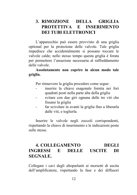# 3. RIMOZIONE DELLA GRIGLIA PROTETTIVA E INSERIMENTO DEI TUBI ELETTRONICI

L'apparecchio può essere provvisto di una griglia optional per la protezione delle valvole. Tale griglia impedisce che accidentalmente si possano toccare le valvole calde; nello stesso tempo questa griglia è forata per permettere l'areazione necessaria al raffreddamento delle valvole.

# Assolutamente non coprire in alcun modo tale griglia.

Per rimuovere la griglia procedere come segue:

- inserire la chiave esagonale fornita nei fori quadrati posti nella parte alta della griglia
- svitare con due giri ognuna delle tre viti che fissano la griglia
- far scivolare in avanti la griglia fino a liberarla dalle viti, e toglierla.

Inserire le valvole negli zoccoli corrispondenti, rispettando la chiave di inserimento e le indicazioni poste sulle stesse.

# 4. COLLEGAMENTO DEGLI INGRESSI E DELLE USCITE DI SEGNALE.

Collegare i cavi degli altoparlanti ai morsetti di uscita dell'amplificatore, rispettando la fase e dei diffusori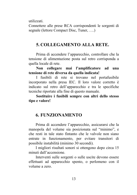utilizzati.

Connettere alle prese RCA corrispondenti le sorgenti di segnale (lettore Compact Disc, Tuner, ….)

# 5. COLLEGAMENTO ALLA RETE.

Prima di accendere l'apparecchio, controllare che la tensione di alimentazione posta sul retro corrisponda a quella locale di rete.

Non collegare mai l'amplificatore ad una tensione di rete diversa da quella indicata!

I fusibili di rete si trovano nel portafusibile incorporato nella presa IEC. Il loro valore corretto è indicato sul retro dell'apparecchio e tra le specifiche tecniche riportate alla fine di questo manuale.

Sostituire i fusibili sempre con altri dello stesso tipo e valore!

# 6. FUNZIONAMENTO

Prima di accendere l'apparecchio, assicurarsi che la manopola del volume sia posizionata sul "minimo", e che resti in tale stato fintanto che le valvole non siano entrate in funzionamento, per evitare transitori di possibile instabilità (minimo 30 secondi).

I migliori risultati sonori si ottengono dopo circa 15 minuti dall'accensione.

Interventi sulle sorgenti o sulle uscite devono essere effettuati ad apparecchio spento, o perlomeno con il volume a zero.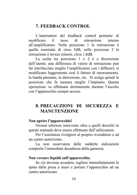# 7. FEEDBACK CONTROL

L'interruttore del feedback control permette di modificare il tasso di retroazione interno all'amplificatore. Nella posizione 1 la retroazione è quella nominale di circa 5dB; nella posizione 2 la retroazione è invece minore, circa 1,8dB.

La scelta tra posizione 1 e 2 è a discrezione dell'utente; una differenza di valore di retroazione può far interfacciare meglio l'amplificatore con i diffusori; si modificano leggermente cioè il fattore di smorzamento, la banda passante, la distorsione, etc. Si scelga quindi la posizione che fa suonare meglio l'impianto. Questa operazione va effettuata direttamente durante l'ascolto con l'apparecchio sempre acceso.

# 8. PRECAUZIONI DI SICUREZZA E **MANUTENZIONE**

## Non aprire l'apparecchio!

Nessun ulteriore intervento oltre a quelli descritti in questo manuale deve essere effettuato dall'utilizzatore.

Per l'assistenza rivolgersi al proprio rivenditore o ad un centro autorizzato.

La non osservanza delle suddette indicazioni comporta l'immediata decadenza della garanzia.

### Non versare liquidi sull'apparecchio.

Se ciò dovesse accadere, togliere immediatamente la spina dalla presa a muro e portare l'apparecchio ad un centro autorizzato.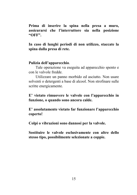Prima di inserire la spina nella presa a muro, assicurarsi che l'interruttore sia nella posizione "OFF".

In caso di lunghi periodi di non utilizzo, staccate la spina dalla presa di rete.

## Pulizia dell'apparecchio.

Tale operazione va eseguita ad apparecchio spento e con le valvole fredde.

Utilizzare un panno morbido ed asciutto. Non usare solventi o detergenti a base di alcool. Non strofinare sulle scritte energicamente.

# E' vietato rimuovere le valvole con l'apparecchio in funzione, o quando sono ancora calde.

E' assolutamente vietato far funzionare l'apparecchio coperto!

Colpi o vibrazioni sono dannosi per la valvole.

Sostituire le valvole esclusivamente con altre dello stesso tipo, possibilmente selezionate a coppie.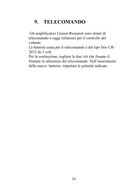# 9. TELECOMANDO

Gli amplificatori Unison Research sono dotati di telecomando a raggi infrarossi per il controllo del volume.

La batteria usata per il telecomando è del tipo litio CR-2032 da 3 volt.

Per la sostituzione, togliere le due viti che fissano il frontale in alluminio del telecomando. Nell'inserimento della nuova batteria rispettare le polarità indicate.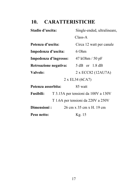# 10. CARATTERISTICHE

| Stadio d'uscita:                        | Single-ended, ultralineare,         |  |  |
|-----------------------------------------|-------------------------------------|--|--|
|                                         | Class-A                             |  |  |
| Potenza d'uscita:                       | Circa 12 watt per canale            |  |  |
| Impedenza d'uscita:                     | 6 Ohm                               |  |  |
| Impedenza d'ingresso:                   | 47 kOhm / 50 pF                     |  |  |
| Retroazione negativa:                   | 5 dB or 1.8 dB                      |  |  |
| Valvole:                                | 2 x ECC82 (12AU7A)                  |  |  |
| 2 x EL34 (6CA7)                         |                                     |  |  |
| Potenza assorbita:                      | 85 watt                             |  |  |
| <b>Fusibili:</b>                        | T 3.15A per tensioni da 100V a 130V |  |  |
| T 1.6A per tensioni da 220V a 250V      |                                     |  |  |
| Dimensioni:<br>26 cm x 35 cm x H, 19 cm |                                     |  |  |
| Peso netto:                             | Kg. 15                              |  |  |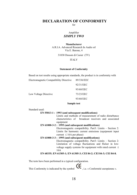# DECLARATION OF CONFORMITY

for

#### Amplifier *SIMPLY TWO*

#### Manufacturer

A.R.I.A. Advanced Research In Audio srl Via E. Barone, 4

31030 Dosson di Casier (TV)

#### ITALY

#### Statement of Conformity

Based on test results using appropriate standards, the product is in conformity with

| Electromagnetic Compatibility Directive | 89/336/EEC |
|-----------------------------------------|------------|
|                                         | 92/31/EEC  |
|                                         | 93/68/EEC  |
| Low Voltage Directive                   | 73/23/EEC  |
|                                         | 93/68/EEC  |

#### Sample test

Standard used:

#### EN 55013-1 : 1993 (and subsequent modifications)

Limits and methods of measurement of radio disturbance characteristics of broadcast receivers and associated equipment

#### EN 61000-3-2 : 1995 (and subsequent modifications)

Electromagnetic compatibility. Part3: Limits – Section 2: Limits for harmonic current emissions (equipment input current  $\leq 16A$  per phase)

#### EN 61000-3-3 : 1995 (and subsequent modifications)

Electromagnetic compatibility. Part3: Limits – Section 2: Limitation of voltage fluctuations and flicker in lowvoltage supply systems for equipment with rated current  $\leq$ 16A

#### EN 60335; EN 61305-1; EN 61305-3; CEI 84-2; CEI 84-3; CEI 84-8.

The tests have been performed in a typical configuration.

This Conformity is indicated by the symbol  $\mathbf{C}\boldsymbol{\epsilon}$ , i.e. « Conformité européenne ».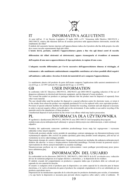

# IT INFORMATIVA AGLI UTENTI

Ai sensi dell'art. 13 de Decreto Legislativo 25 luglio 2005, n.151 "Attuazione delle Direttive 2002/95/CE e 2003/108/CE, relative alla riduzione dell'uso di sostanze pericolose nelle apparecchiature elettroniche, nonché alla smaltimento dei rifiuti"

Il simbolo del cassonetto barrato riportato sull'apparecchiature indica che il prodotto alla fine della propria vita utile deve essere raccolto separatamente dagli altri rifiuti.

L'utente dovrà, pertanto, conferire l'apparecchiatura giunta a fine vita agli idonei centri di raccolta

differenziata dei rifiuti elettronici ed elettrotecnici, oppure riconsegnarla al rivenditore al momento

dell'acquisto di una nuova apparecchiatura di tipo equivalente, in ragione di uno a uno.

L'adeguata raccolta differenziata per l'avvio successivo dell'apparecchiatura dimessa al riciclaggio, al

trattamento e allo smaltimento ambientalmente compatibile contribuisce ad evitare possibili effetti negativi

sull'ambiente e sulla salute e favorisce il riciclo dei materiali di cui è composta l'apparecchiatura.

Lo smaltimento abusivo del prodotto da parte dell'utente comporta l'applicazione delle sanzioni amministrative di cui al D.Lgs. n. 22/1997 (articolo 50 e seguenti del D.Lgs. n. 22/1997).

# GB USER INFORMATION

In conformity with EC Directives 2002/95/CE, 2002/96/CE and 2003/108/CE regarding reduction of the use of dangerous substances in electrical and electronic equipment, and the disposal of waste products.

The crossed bin symbol on products or packages indicates that the product must be disposed of separately from other waste material.

The user should either send the product for disposal to a special collection centre for electronic waste, or return it to the retailer from whom the product was originally purchased if it is to be replaced with a new equivalent product. Provision of special collection facilities for products destined for recycling, treatment and safe disposal is necessary in order to prevent negative effects on health and on the environment. It also enables re-use and/or recycling of the materials used in the manufacture of those products.

Unauthorised disposal of such products by the owner is an offence which may lead to prosecution.

# PL INFORMACJA DLA UŻYTKOWNIKA

W zgodności z dyrektywami 2002/95/CE, 2002/96/CE oraz 2003/108/CE Unii Europejskiej dotyczącymi zredukowania użycia niebezpiecznych substancji w sprzęcie elektrycznym oraz elektronicznym, a także utylizacji odpadów:

Produkty lub opakowania oznaczone symbolem przekreślonego kosza mają być segregowane i wyrzucane oddzielnie wobec innych odpadów.

Użytkownik powinien odesłać zużyty produkt do specjalnego centrum zajmującego się zbieraniem/utylizacją wyżej wymienionych odpadów albo zwrócić do punktu sprzedaży gdzie dany produkt został zakupiony, jeśli ma być on wymieniony na nowy odpowiadający produkt.

Zapewnienie dostępu do centrów składowania i bezpiecznej utylizacji jest niezbędne dla uniknięcia niebezpiecznych skutków dla zdrowia i w trosce o bezpieczeństwo środowiska naturalnego. Pozwala również na ponowne użycie i wprowadzenie do obrotu użytych materiałów na zasadzie recyklingu.

Nieautoryzowane pozbycie się ww. odpadów jest wykroczeniem i może podlegać przewidywanej przez prawo karze administracyjnej.

# ES INFORMACIÓN DEL USUARIO

En conformidad con los directorios 2002/95/CE, 2002/96/CE y 2003/108/CE de la EC en relación con a reducción del uso de sustancias peligrosas en el equipo eléctrico y electrónico, y la disposición de los residuos.

El símbolo cruzado del compartimiento en productos o paquetes indica que el producto debe ser colocado por separado de otro material de desecho.

El usuario si cualquiera envía el producto para la disposición a un centro especial de la colección para la basura electrónica, o lo vuelve al minorista de quien el producto fue comprado originalmente si él es ser substituido por un producto equivalente nuevo.

Disposición de las instalaciones especiales de la colección para los productos destinados para reciclar, el tratamiento y la caja fuerte la disposición es necesaria para prevenir efectos negativos sobre salud y sobre el ambiente. Él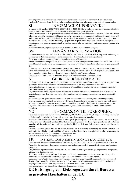también permite la reutilización y/o el reciclaje de los materiales usados en la fabricación de esos productos. La disposición desautorizada de tales productos del propietario es una ofensa que puede conducir a persecución.

# SL INFORMACIJE UPORABNIKU

V skladu z EC predpisi 2002/95/CE, 2002/96/CE in 2003/108/CE, ki zadevajo zmanjšanje uporabe škodljivih substanc v elektronskih in električnih proizvodih in odlaganje odrabljenih produktov.

Simbol prekrižanega koša na proizvodih ali embalaži nakazuje, da mora biti proizvod odvržen ločeno od ostalega odpadnega materiala. Uporabnik naj bi proizvod poslal v center za zbiranje odpadnih elektronskih naprav ali ga vrnil proizvajalcu, od katerega ga je odkupil, če naj bi bil proizvod zamenjan. Možnost posebnih zbiranj za proizvode namenjene recikliranju, obdelavi ali uničenju, je potrebna za preprečitev negativnih učinkov na zdravje in okolje. Hkrati onemogoča ponovno uporabo in/ali nepravilno oz. nestrokovno recikliranje materialov, uporabljenih za take proizvode.

Nepooblaščeno odlaganje takih proizvodov je prekršek in lahko vodi k sodnemu pregonu.

# SW ANVÄNDARINFORMATION

I överensstämmelse med EC direktiven 2002/95/CE, 2002/96/CE och 2003/108/CE angående reducering av användandet av hälsovådliga ämnen i elektronikmaterial och bortskaffande av avfallsprodukter.

Den överkryssade soptunnan indikerar att produkten måste avfallssorteras.

Slutanvändaren skall antingen lämna produkten vid särskild återvinningsstation för elektroniskt avfall eller, i de fall produkten skall ersättas av en likvärdig produkt, återlämna produkten till den återförsäljare som ursprungligen sålt den.

Ombesörjande av speciella avfallsstationer, ämnade för produkter med särskilda krav för återvinning, skötsel och säkert bortskaffande, är nödvändigt för att förhindra negativa effekter på hälsa och miljön. De möjliggör också återanvändning och återvinning av de material som använts för att tillverka produkten.

Olovligt bortskaffande av sådana produkter av ägaren är en överträdelse som kan leda till åtal.

# NL GEBRUIKERSINFORMATIE

Conform de EC richtlijnen 2002/95/CE, 2002/96/CE en 2003/108/CE betreffende vermindering van het gebruik van gevaarlijke stoffen in elektrische en electronische apparatuur, en het wegwerpen van afvalstoffen.

Het symbool van een doorgekruiste ton op producten of verpakkingen betekent dat het product apart van ander afval moet worden weggeworpen.

De gebruiker dient ofwel het product naar een speciaal verzamelcentrum voor electronisch afval te sturen, of het terug te brengen naar de winkel waar het product is gekocht als het vervangen wordt met een nieuw soortgelijk product.

Het verschaffen van speciale verzamelfaciliteiten voor producten bedoeld voor recylcen, bewerking en veilige afvalverwerking is noodzakelijk om negatieve effecten op de gezondheid en het milieu te voorkomen. Ook maakt het hergebruik en/of het recyclen mogelijk van de materialen die gebruikt zijn bij het maken van deze producten. Ongeoorloofd dumpen van zulke producten door de eigenaar is een overtreding die kan leiden tot justitiele vervolging.

# NO INFORMASJON TIL FORBRUKER.

I overensstemmelse med EC direktivene 2002/95/CE, 2002/96/CE og 2003/108/CE angående reduksjon av bruken av farlige stoffer i elektrisk og elektronisk utstyr og avskaffelse av defekte produkter.

Produkter eller emballasjer merket med et overkrysset produktsymbol skal kastes separat fra annen søppel. Forbrukeren skal enten sende produktet til avfallsortering på egent sted for denne typen spesialavfall, eller returnere produktet til forhandleren hvor produktet opprinnelig ble kjøpt hvis det skal erstattes med et nytt tilsvarende produkt.

Spesielle oppsamlingsfasiliteter for produkter beregnet for resirkulering, behandling og sikker avskaffelse er nødvendig for å hindre negative effekter på helse og miljø. Dette sikrer også gjenbruk og/eller resirkulering av materialene som er brukt i produksjonen av disse produktene. Uautorisert avskaffelse av slike produkter er straffbart.

#### FR INSTRUCTIONS A DESTINATION DE L'UTILISATEUR

Conformément aux directives Européennes 2002/95/CE, 2002/96/CE et 2003/108/CE portant sur la réduction de l'utilisation des substances dangereuses présentes dans les équipements électriques et électroniques ainsi que dans les déchets.

Le symbole de la poubelle barrée placé sur les produits ou leurs emballages indique que ce produit ne doit pas être mélangé avec d'autres détritus.

L'utilisateur doit soit renvoyer le produit à un centre de traitement des déchets électroniques spécifique, soit le retourner à son revendeur lui ayant vendu le produit en cas de rachat d'un nouveau produit.

La mise en place d'un tel dispositif de prise en charge permettant le recyclage et le traitement de ces produits est destiné à éviter leurs effets néfastes sur la santé et l'environnement. Cela permet également la réutilisation ou le recyclage de des produits dans les processus de fabrication de nouveaux appareils. Tout contrevenant à ces dispositions est passible de poursuites pénales.

# DE Entsorgung von Elektrogeräten durch Benutzer in privaten Haushalten in der EU